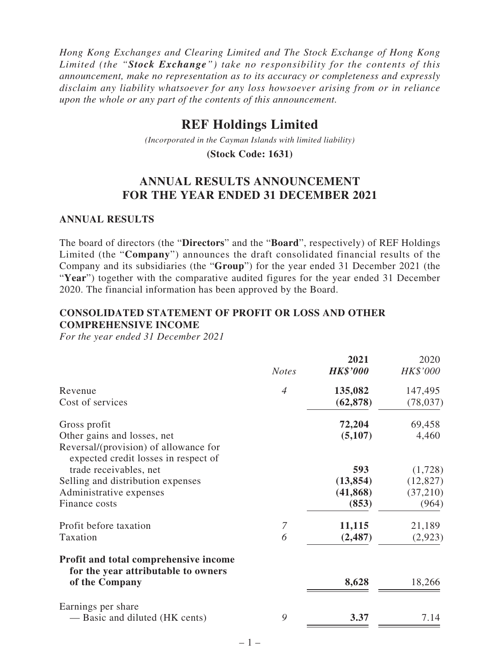*Hong Kong Exchanges and Clearing Limited and The Stock Exchange of Hong Kong Limited (the "Stock Exchange") take no responsibility for the contents of this announcement, make no representation as to its accuracy or completeness and expressly disclaim any liability whatsoever for any loss howsoever arising from or in reliance upon the whole or any part of the contents of this announcement.*

# **REF Holdings Limited**

*(Incorporated in the Cayman Islands with limited liability)*

**(Stock Code: 1631)**

## **ANNUAL RESULTS ANNOUNCEMENT FOR THE YEAR ENDED 31 DECEMBER 2021**

#### **ANNUAL RESULTS**

The board of directors (the "**Directors**" and the "**Board**", respectively) of REF Holdings Limited (the "**Company**") announces the draft consolidated financial results of the Company and its subsidiaries (the "**Group**") for the year ended 31 December 2021 (the "Year") together with the comparative audited figures for the year ended 31 December 2020. The financial information has been approved by the Board.

#### **CONSOLIDATED STATEMENT OF PROFIT OR LOSS AND OTHER COMPREHENSIVE INCOME**

*For the year ended 31 December 2021*

|                                                                               | <b>Notes</b>   | 2021<br><b>HK\$'000</b> | 2020<br>HK\$'000 |
|-------------------------------------------------------------------------------|----------------|-------------------------|------------------|
| Revenue                                                                       | $\overline{4}$ | 135,082                 | 147,495          |
| Cost of services                                                              |                | (62, 878)               | (78, 037)        |
| Gross profit                                                                  |                | 72,204                  | 69,458           |
| Other gains and losses, net                                                   |                | (5,107)                 | 4,460            |
| Reversal/(provision) of allowance for<br>expected credit losses in respect of |                |                         |                  |
| trade receivables, net                                                        |                | 593                     | (1,728)          |
| Selling and distribution expenses                                             |                | (13, 854)               | (12, 827)        |
| Administrative expenses                                                       |                | (41, 868)               | (37, 210)        |
| Finance costs                                                                 |                | (853)                   | (964)            |
| Profit before taxation                                                        | 7              | 11,115                  | 21,189           |
| Taxation                                                                      | 6              | (2, 487)                | (2,923)          |
| Profit and total comprehensive income<br>for the year attributable to owners  |                |                         |                  |
| of the Company                                                                |                | 8,628                   | 18,266           |
| Earnings per share                                                            |                |                         |                  |
| — Basic and diluted (HK cents)                                                | 9              | 3.37                    | 7.14             |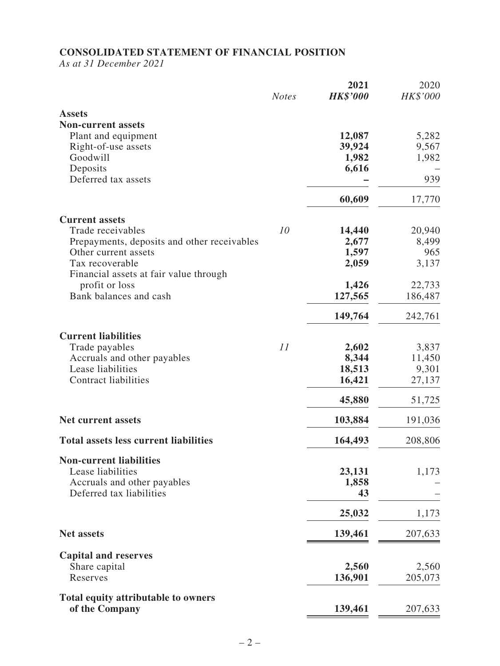#### **CONSOLIDATED STATEMENT OF FINANCIAL POSITION**

*As at 31 December 2021*

|                                              | <b>Notes</b> | 2021<br><b>HK\$'000</b> | 2020<br>HK\$'000 |
|----------------------------------------------|--------------|-------------------------|------------------|
| <b>Assets</b>                                |              |                         |                  |
| <b>Non-current assets</b>                    |              |                         |                  |
| Plant and equipment                          |              | 12,087                  | 5,282            |
| Right-of-use assets                          |              | 39,924                  | 9,567            |
| Goodwill                                     |              | 1,982                   | 1,982            |
| Deposits                                     |              | 6,616                   |                  |
| Deferred tax assets                          |              |                         | 939              |
|                                              |              | 60,609                  | 17,770           |
| <b>Current assets</b>                        |              |                         |                  |
| Trade receivables                            | 10           | 14,440                  | 20,940           |
| Prepayments, deposits and other receivables  |              | 2,677                   | 8,499            |
| Other current assets                         |              | 1,597                   | 965              |
| Tax recoverable                              |              | 2,059                   | 3,137            |
| Financial assets at fair value through       |              |                         |                  |
| profit or loss                               |              | 1,426                   | 22,733           |
| Bank balances and cash                       |              | 127,565                 | 186,487          |
|                                              |              | 149,764                 | 242,761          |
| <b>Current liabilities</b>                   |              |                         |                  |
| Trade payables                               | 11           | 2,602                   | 3,837            |
| Accruals and other payables                  |              | 8,344                   | 11,450           |
| Lease liabilities                            |              | 18,513                  | 9,301            |
| <b>Contract liabilities</b>                  |              | 16,421                  | 27,137           |
|                                              |              | 45,880                  | 51,725           |
| <b>Net current assets</b>                    |              | 103,884                 | 191,036          |
| <b>Total assets less current liabilities</b> |              | 164,493                 | 208,806          |
| <b>Non-current liabilities</b>               |              |                         |                  |
| Lease liabilities                            |              | 23,131                  | 1,173            |
| Accruals and other payables                  |              | 1,858                   |                  |
| Deferred tax liabilities                     |              | 43                      |                  |
|                                              |              | 25,032                  | 1,173            |
| <b>Net assets</b>                            |              | 139,461                 | 207,633          |
| <b>Capital and reserves</b>                  |              |                         |                  |
| Share capital                                |              | 2,560                   | 2,560            |
| Reserves                                     |              | 136,901                 | 205,073          |
| Total equity attributable to owners          |              |                         |                  |
| of the Company                               |              | 139,461                 | 207,633          |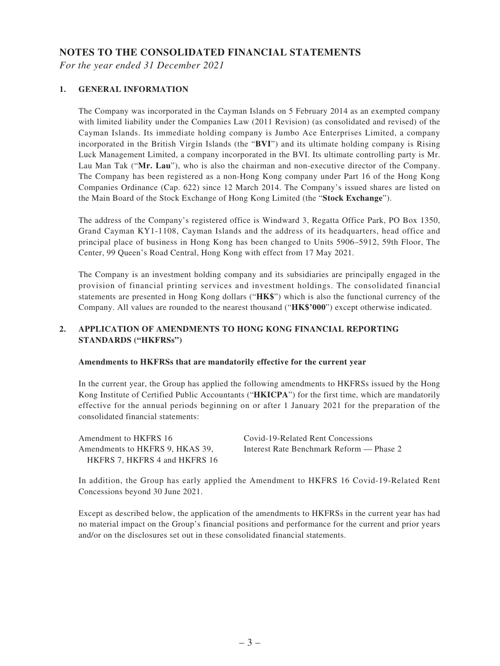#### **NOTES TO THE CONSOLIDATED FINANCIAL STATEMENTS**

*For the year ended 31 December 2021*

#### **1. GENERAL INFORMATION**

The Company was incorporated in the Cayman Islands on 5 February 2014 as an exempted company with limited liability under the Companies Law (2011 Revision) (as consolidated and revised) of the Cayman Islands. Its immediate holding company is Jumbo Ace Enterprises Limited, a company incorporated in the British Virgin Islands (the "**BVI**") and its ultimate holding company is Rising Luck Management Limited, a company incorporated in the BVI. Its ultimate controlling party is Mr. Lau Man Tak ("**Mr. Lau**"), who is also the chairman and non-executive director of the Company. The Company has been registered as a non-Hong Kong company under Part 16 of the Hong Kong Companies Ordinance (Cap. 622) since 12 March 2014. The Company's issued shares are listed on the Main Board of the Stock Exchange of Hong Kong Limited (the "**Stock Exchange**").

The address of the Company's registered office is Windward 3, Regatta Office Park, PO Box 1350, Grand Cayman KY1-1108, Cayman Islands and the address of its headquarters, head office and principal place of business in Hong Kong has been changed to Units 5906–5912, 59th Floor, The Center, 99 Queen's Road Central, Hong Kong with effect from 17 May 2021.

The Company is an investment holding company and its subsidiaries are principally engaged in the provision of financial printing services and investment holdings. The consolidated financial statements are presented in Hong Kong dollars ("**HK\$**") which is also the functional currency of the Company. All values are rounded to the nearest thousand ("**HK\$'000**") except otherwise indicated.

#### **2. APPLICATION OF AMENDMENTS TO HONG KONG FINANCIAL REPORTING STANDARDS ("HKFRSs")**

#### **Amendments to HKFRSs that are mandatorily effective for the current year**

In the current year, the Group has applied the following amendments to HKFRSs issued by the Hong Kong Institute of Certified Public Accountants ("**HKICPA**") for the first time, which are mandatorily effective for the annual periods beginning on or after 1 January 2021 for the preparation of the consolidated financial statements:

Amendment to HKFRS 16 Covid-19-Related Rent Concessions Amendments to HKFRS 9, HKAS 39, HKFRS 7, HKFRS 4 and HKFRS 16

Interest Rate Benchmark Reform — Phase 2

In addition, the Group has early applied the Amendment to HKFRS 16 Covid-19-Related Rent Concessions beyond 30 June 2021.

Except as described below, the application of the amendments to HKFRSs in the current year has had no material impact on the Group's financial positions and performance for the current and prior years and/or on the disclosures set out in these consolidated financial statements.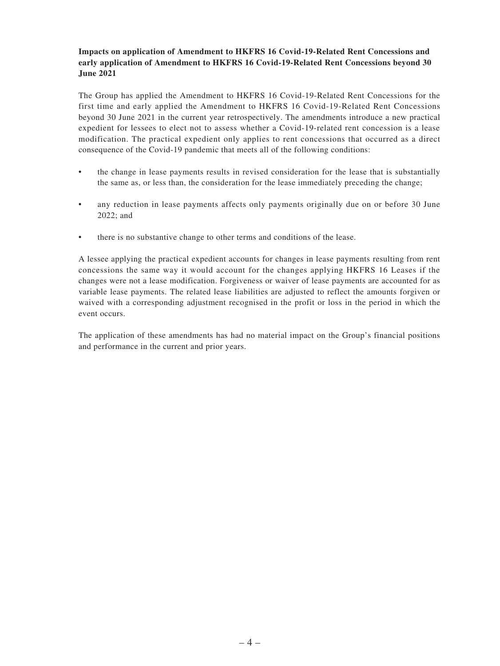#### **Impacts on application of Amendment to HKFRS 16 Covid-19-Related Rent Concessions and early application of Amendment to HKFRS 16 Covid-19-Related Rent Concessions beyond 30 June 2021**

The Group has applied the Amendment to HKFRS 16 Covid-19-Related Rent Concessions for the first time and early applied the Amendment to HKFRS 16 Covid-19-Related Rent Concessions beyond 30 June 2021 in the current year retrospectively. The amendments introduce a new practical expedient for lessees to elect not to assess whether a Covid-19-related rent concession is a lease modification. The practical expedient only applies to rent concessions that occurred as a direct consequence of the Covid-19 pandemic that meets all of the following conditions:

- the change in lease payments results in revised consideration for the lease that is substantially the same as, or less than, the consideration for the lease immediately preceding the change;
- any reduction in lease payments affects only payments originally due on or before 30 June 2022; and
- there is no substantive change to other terms and conditions of the lease.

A lessee applying the practical expedient accounts for changes in lease payments resulting from rent concessions the same way it would account for the changes applying HKFRS 16 Leases if the changes were not a lease modification. Forgiveness or waiver of lease payments are accounted for as variable lease payments. The related lease liabilities are adjusted to reflect the amounts forgiven or waived with a corresponding adjustment recognised in the profit or loss in the period in which the event occurs.

The application of these amendments has had no material impact on the Group's financial positions and performance in the current and prior years.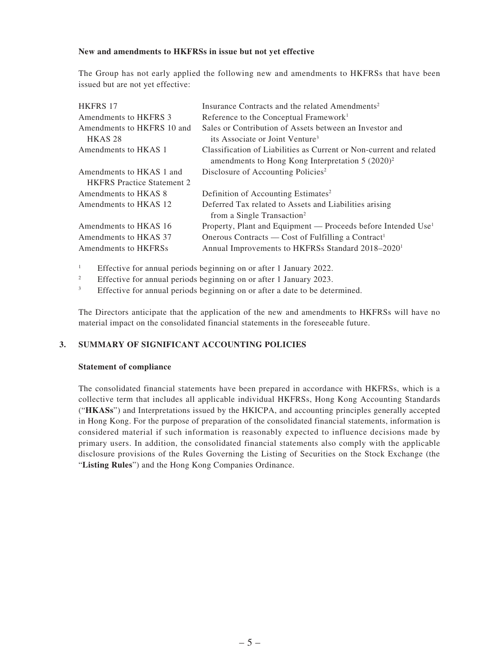#### **New and amendments to HKFRSs in issue but not yet effective**

The Group has not early applied the following new and amendments to HKFRSs that have been issued but are not yet effective:

| <b>HKFRS 17</b>                   | Insurance Contracts and the related Amendments <sup>2</sup>               |
|-----------------------------------|---------------------------------------------------------------------------|
| Amendments to HKFRS 3             | Reference to the Conceptual Framework <sup>1</sup>                        |
| Amendments to HKFRS 10 and        | Sales or Contribution of Assets between an Investor and                   |
| HKAS <sub>28</sub>                | its Associate or Joint Venture <sup>3</sup>                               |
| Amendments to HKAS 1              | Classification of Liabilities as Current or Non-current and related       |
|                                   | amendments to Hong Kong Interpretation $5 (2020)^2$                       |
| Amendments to HKAS 1 and          | Disclosure of Accounting Policies <sup>2</sup>                            |
| <b>HKFRS</b> Practice Statement 2 |                                                                           |
| Amendments to HKAS 8              | Definition of Accounting Estimates <sup>2</sup>                           |
| Amendments to HKAS 12             | Deferred Tax related to Assets and Liabilities arising                    |
|                                   | from a Single Transaction <sup>2</sup>                                    |
| Amendments to HKAS 16             | Property, Plant and Equipment — Proceeds before Intended Use <sup>1</sup> |
| Amendments to HKAS 37             | Onerous Contracts — Cost of Fulfilling a Contract <sup>1</sup>            |
| Amendments to HKFRSs              | Annual Improvements to HKFRSs Standard 2018-2020 <sup>1</sup>             |

<sup>1</sup> Effective for annual periods beginning on or after 1 January 2022.<br>Effective for annual periods beginning on or after 1 January 2023.

<sup>2</sup> Effective for annual periods beginning on or after 1 January 2023.

<sup>3</sup> Effective for annual periods beginning on or after a date to be determined.

The Directors anticipate that the application of the new and amendments to HKFRSs will have no material impact on the consolidated financial statements in the foreseeable future.

#### **3. SUMMARY OF SIGNIFICANT ACCOUNTING POLICIES**

#### **Statement of compliance**

The consolidated financial statements have been prepared in accordance with HKFRSs, which is a collective term that includes all applicable individual HKFRSs, Hong Kong Accounting Standards ("**HKASs**") and Interpretations issued by the HKICPA, and accounting principles generally accepted in Hong Kong. For the purpose of preparation of the consolidated financial statements, information is considered material if such information is reasonably expected to influence decisions made by primary users. In addition, the consolidated financial statements also comply with the applicable disclosure provisions of the Rules Governing the Listing of Securities on the Stock Exchange (the "**Listing Rules**") and the Hong Kong Companies Ordinance.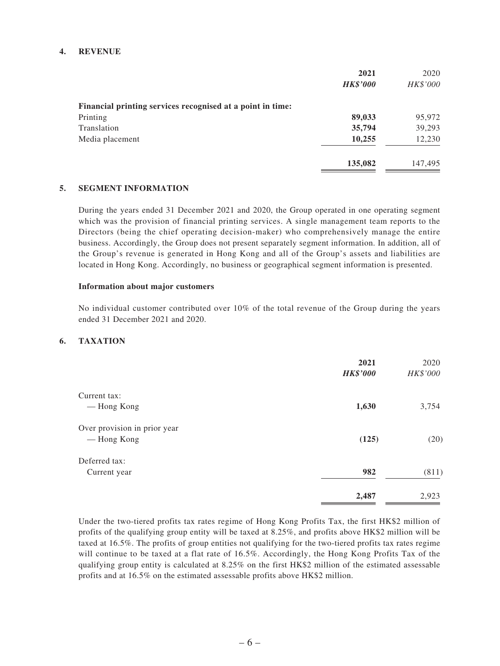#### **4. REVENUE**

|                                                            | 2021            | 2020     |
|------------------------------------------------------------|-----------------|----------|
|                                                            | <b>HK\$'000</b> | HK\$'000 |
| Financial printing services recognised at a point in time: |                 |          |
| Printing                                                   | 89,033          | 95,972   |
| Translation                                                | 35,794          | 39,293   |
| Media placement                                            | 10,255          | 12,230   |
|                                                            | 135,082         | 147,495  |

#### **5. SEGMENT INFORMATION**

During the years ended 31 December 2021 and 2020, the Group operated in one operating segment which was the provision of financial printing services. A single management team reports to the Directors (being the chief operating decision-maker) who comprehensively manage the entire business. Accordingly, the Group does not present separately segment information. In addition, all of the Group's revenue is generated in Hong Kong and all of the Group's assets and liabilities are located in Hong Kong. Accordingly, no business or geographical segment information is presented.

#### **Information about major customers**

No individual customer contributed over 10% of the total revenue of the Group during the years ended 31 December 2021 and 2020.

#### **6. TAXATION**

|                              | 2021<br><b>HK\$'000</b> | 2020<br>HK\$'000 |
|------------------------------|-------------------------|------------------|
| Current tax:                 |                         |                  |
| — Hong Kong                  | 1,630                   | 3,754            |
| Over provision in prior year |                         |                  |
| — Hong Kong                  | (125)                   | (20)             |
| Deferred tax:                |                         |                  |
| Current year                 | 982                     | (811)            |
|                              | 2,487                   | 2,923            |

Under the two-tiered profits tax rates regime of Hong Kong Profits Tax, the first HK\$2 million of profits of the qualifying group entity will be taxed at 8.25%, and profits above HK\$2 million will be taxed at 16.5%. The profits of group entities not qualifying for the two-tiered profits tax rates regime will continue to be taxed at a flat rate of 16.5%. Accordingly, the Hong Kong Profits Tax of the qualifying group entity is calculated at 8.25% on the first HK\$2 million of the estimated assessable profits and at 16.5% on the estimated assessable profits above HK\$2 million.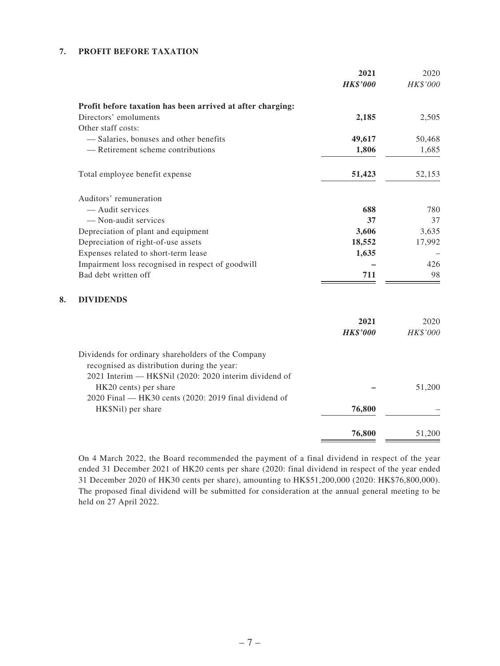#### **7. PROFIT BEFORE TAXATION**

|                                                            | 2021            | 2020     |
|------------------------------------------------------------|-----------------|----------|
|                                                            | <b>HK\$'000</b> | HK\$'000 |
| Profit before taxation has been arrived at after charging: |                 |          |
| Directors' emoluments                                      | 2,185           | 2,505    |
| Other staff costs:                                         |                 |          |
| - Salaries, bonuses and other benefits                     | 49,617          | 50,468   |
| - Retirement scheme contributions                          | 1,806           | 1,685    |
| Total employee benefit expense                             | 51,423          | 52,153   |
| Auditors' remuneration                                     |                 |          |
| - Audit services                                           | 688             | 780      |
| - Non-audit services                                       | 37              | 37       |
| Depreciation of plant and equipment                        | 3,606           | 3,635    |
| Depreciation of right-of-use assets                        | 18,552          | 17,992   |
| Expenses related to short-term lease                       | 1,635           |          |
| Impairment loss recognised in respect of goodwill          |                 | 426      |
| Bad debt written off                                       | 711             | 98       |
| <b>DIVIDENDS</b>                                           |                 |          |
|                                                            | 2021            | 2020     |
|                                                            | <b>HK\$'000</b> | HK\$'000 |
| Dividends for ordinary shareholders of the Company         |                 |          |
| recognised as distribution during the year:                |                 |          |
| 2021 Interim — HK\$Nil (2020: 2020 interim dividend of     |                 | 51,200   |
| HK20 cents) per share                                      |                 |          |
| 2020 Final — HK30 cents (2020: 2019 final dividend of      |                 |          |
| HK\$Nil) per share                                         | 76,800          |          |
|                                                            | 76,800          | 51,200   |

On 4 March 2022, the Board recommended the payment of a final dividend in respect of the year ended 31 December 2021 of HK20 cents per share (2020: final dividend in respect of the year ended 31 December 2020 of HK30 cents per share), amounting to HK\$51,200,000 (2020: HK\$76,800,000). The proposed final dividend will be submitted for consideration at the annual general meeting to be held on 27 April 2022.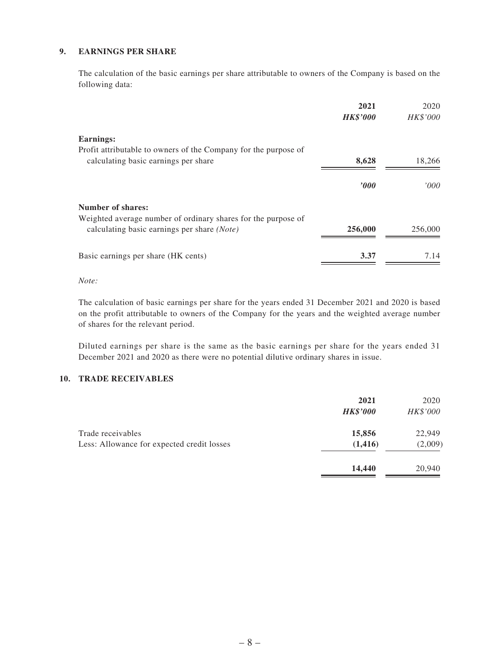#### **9. EARNINGS PER SHARE**

The calculation of the basic earnings per share attributable to owners of the Company is based on the following data:

| 18,266                           |
|----------------------------------|
| 000'                             |
|                                  |
|                                  |
| 256,000                          |
| 7.14                             |
| 8,628<br>2000<br>256,000<br>3.37 |

*Note:*

The calculation of basic earnings per share for the years ended 31 December 2021 and 2020 is based on the profit attributable to owners of the Company for the years and the weighted average number of shares for the relevant period.

Diluted earnings per share is the same as the basic earnings per share for the years ended 31 December 2021 and 2020 as there were no potential dilutive ordinary shares in issue.

#### **10. TRADE RECEIVABLES**

|                                                                 | 2021<br><b>HK\$'000</b> | 2020<br>HK\$'000  |
|-----------------------------------------------------------------|-------------------------|-------------------|
| Trade receivables<br>Less: Allowance for expected credit losses | 15,856<br>(1, 416)      | 22,949<br>(2,009) |
|                                                                 | 14,440                  | 20,940            |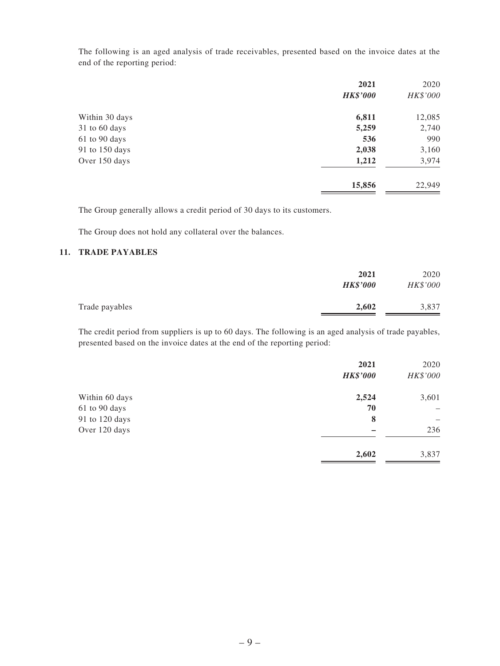The following is an aged analysis of trade receivables, presented based on the invoice dates at the end of the reporting period:

| 2021            | 2020     |
|-----------------|----------|
| <b>HK\$'000</b> | HK\$'000 |
| 6,811           | 12,085   |
| 5,259           | 2,740    |
| 536             | 990      |
| 2,038           | 3,160    |
| 1,212           | 3,974    |
| 15,856          | 22,949   |
|                 |          |

The Group generally allows a credit period of 30 days to its customers.

The Group does not hold any collateral over the balances.

#### **11. TRADE PAYABLES**

|                | 2021<br><b>HK\$'000</b> | 2020<br>HK\$'000 |
|----------------|-------------------------|------------------|
| Trade payables | 2,602                   | 3,837            |

The credit period from suppliers is up to 60 days. The following is an aged analysis of trade payables, presented based on the invoice dates at the end of the reporting period:

| 2021            | 2020     |
|-----------------|----------|
| <b>HK\$'000</b> | HK\$'000 |
| 2,524           | 3,601    |
| 70              | -        |
| 8               |          |
|                 | 236      |
| 2,602           | 3,837    |
|                 |          |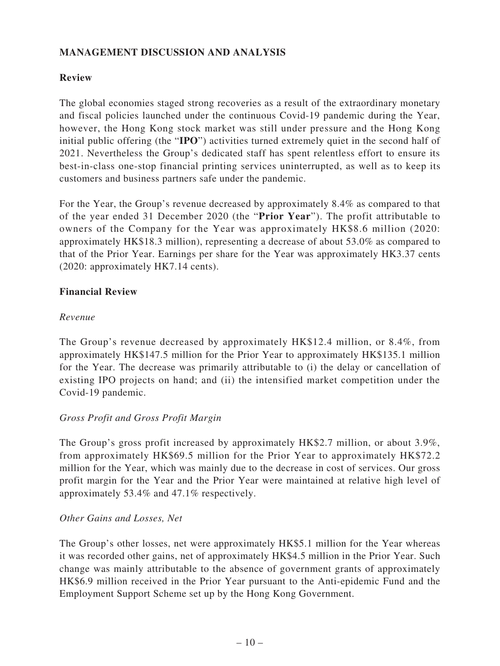## **MANAGEMENT DISCUSSION AND ANALYSIS**

### **Review**

The global economies staged strong recoveries as a result of the extraordinary monetary and fiscal policies launched under the continuous Covid-19 pandemic during the Year, however, the Hong Kong stock market was still under pressure and the Hong Kong initial public offering (the "**IPO**") activities turned extremely quiet in the second half of 2021. Nevertheless the Group's dedicated staff has spent relentless effort to ensure its best-in-class one-stop financial printing services uninterrupted, as well as to keep its customers and business partners safe under the pandemic.

For the Year, the Group's revenue decreased by approximately 8.4% as compared to that of the year ended 31 December 2020 (the "**Prior Year**"). The profit attributable to owners of the Company for the Year was approximately HK\$8.6 million (2020: approximately HK\$18.3 million), representing a decrease of about 53.0% as compared to that of the Prior Year. Earnings per share for the Year was approximately HK3.37 cents (2020: approximately HK7.14 cents).

#### **Financial Review**

#### *Revenue*

The Group's revenue decreased by approximately HK\$12.4 million, or 8.4%, from approximately HK\$147.5 million for the Prior Year to approximately HK\$135.1 million for the Year. The decrease was primarily attributable to (i) the delay or cancellation of existing IPO projects on hand; and (ii) the intensified market competition under the Covid-19 pandemic.

### *Gross Profit and Gross Profit Margin*

The Group's gross profit increased by approximately HK\$2.7 million, or about 3.9%, from approximately HK\$69.5 million for the Prior Year to approximately HK\$72.2 million for the Year, which was mainly due to the decrease in cost of services. Our gross profit margin for the Year and the Prior Year were maintained at relative high level of approximately 53.4% and 47.1% respectively.

#### *Other Gains and Losses, Net*

The Group's other losses, net were approximately HK\$5.1 million for the Year whereas it was recorded other gains, net of approximately HK\$4.5 million in the Prior Year. Such change was mainly attributable to the absence of government grants of approximately HK\$6.9 million received in the Prior Year pursuant to the Anti-epidemic Fund and the Employment Support Scheme set up by the Hong Kong Government.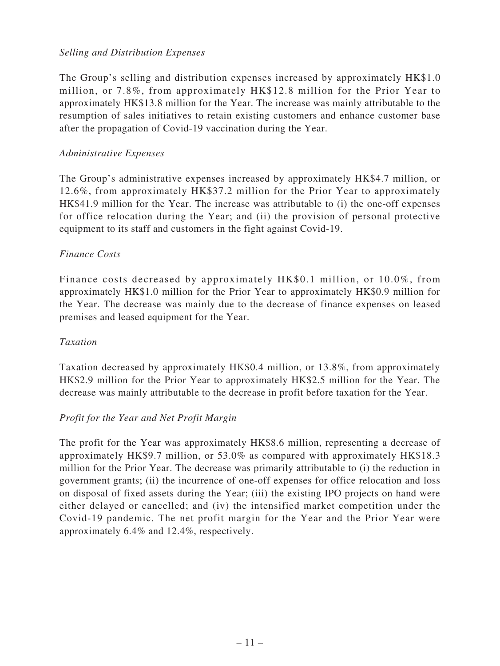### *Selling and Distribution Expenses*

The Group's selling and distribution expenses increased by approximately HK\$1.0 million, or 7.8%, from approximately HK\$12.8 million for the Prior Year to approximately HK\$13.8 million for the Year. The increase was mainly attributable to the resumption of sales initiatives to retain existing customers and enhance customer base after the propagation of Covid-19 vaccination during the Year.

### *Administrative Expenses*

The Group's administrative expenses increased by approximately HK\$4.7 million, or 12.6%, from approximately HK\$37.2 million for the Prior Year to approximately HK\$41.9 million for the Year. The increase was attributable to (i) the one-off expenses for office relocation during the Year; and (ii) the provision of personal protective equipment to its staff and customers in the fight against Covid-19.

## *Finance Costs*

Finance costs decreased by approximately HK\$0.1 million, or 10.0%, from approximately HK\$1.0 million for the Prior Year to approximately HK\$0.9 million for the Year. The decrease was mainly due to the decrease of finance expenses on leased premises and leased equipment for the Year.

### *Taxation*

Taxation decreased by approximately HK\$0.4 million, or 13.8%, from approximately HK\$2.9 million for the Prior Year to approximately HK\$2.5 million for the Year. The decrease was mainly attributable to the decrease in profit before taxation for the Year.

## *Profit for the Year and Net Profit Margin*

The profit for the Year was approximately HK\$8.6 million, representing a decrease of approximately HK\$9.7 million, or 53.0% as compared with approximately HK\$18.3 million for the Prior Year. The decrease was primarily attributable to (i) the reduction in government grants; (ii) the incurrence of one-off expenses for office relocation and loss on disposal of fixed assets during the Year; (iii) the existing IPO projects on hand were either delayed or cancelled; and (iv) the intensified market competition under the Covid-19 pandemic. The net profit margin for the Year and the Prior Year were approximately 6.4% and 12.4%, respectively.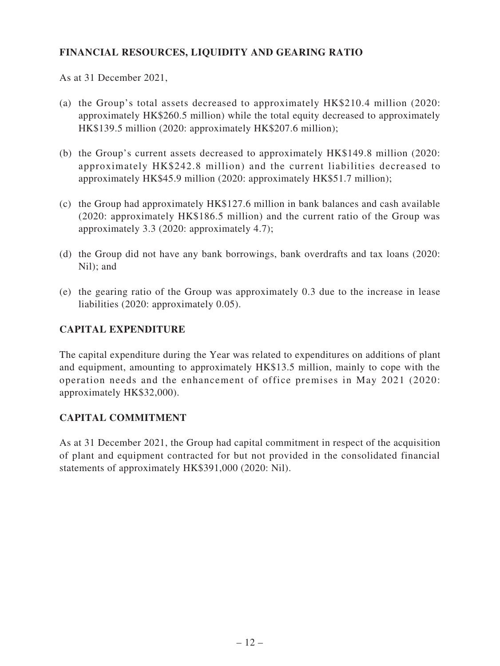## **FINANCIAL RESOURCES, LIQUIDITY AND GEARING RATIO**

As at 31 December 2021,

- (a) the Group's total assets decreased to approximately HK\$210.4 million (2020: approximately HK\$260.5 million) while the total equity decreased to approximately HK\$139.5 million (2020: approximately HK\$207.6 million);
- (b) the Group's current assets decreased to approximately HK\$149.8 million (2020: approximately HK\$242.8 million) and the current liabilities decreased to approximately HK\$45.9 million (2020: approximately HK\$51.7 million);
- (c) the Group had approximately HK\$127.6 million in bank balances and cash available (2020: approximately HK\$186.5 million) and the current ratio of the Group was approximately 3.3 (2020: approximately 4.7);
- (d) the Group did not have any bank borrowings, bank overdrafts and tax loans (2020: Nil); and
- (e) the gearing ratio of the Group was approximately 0.3 due to the increase in lease liabilities (2020: approximately 0.05).

## **CAPITAL EXPENDITURE**

The capital expenditure during the Year was related to expenditures on additions of plant and equipment, amounting to approximately HK\$13.5 million, mainly to cope with the operation needs and the enhancement of office premises in May 2021 (2020: approximately HK\$32,000).

### **CAPITAL COMMITMENT**

As at 31 December 2021, the Group had capital commitment in respect of the acquisition of plant and equipment contracted for but not provided in the consolidated financial statements of approximately HK\$391,000 (2020: Nil).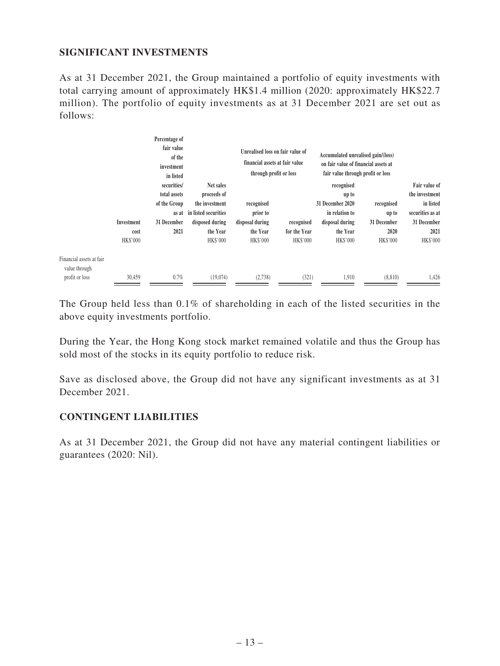## **SIGNIFICANT INVESTMENTS**

As at 31 December 2021, the Group maintained a portfolio of equity investments with total carrying amount of approximately HK\$1.4 million (2020: approximately HK\$22.7 million). The portfolio of equity investments as at 31 December 2021 are set out as follows:

|                                                             | Percentage of<br>fair value<br>of the<br>investment<br>in listed<br>Investment<br>cost<br>HK\$'000 |                                                                             | through profit or loss                                                                                               | Unrealised loss on fair value of<br>Accumulated unrealised gain/(loss)<br>financial assets at fair value<br>on fair value of financial assets at<br>fair value through profit or loss |                                        |                                                                                                      |                                                               |                                                                                                     |
|-------------------------------------------------------------|----------------------------------------------------------------------------------------------------|-----------------------------------------------------------------------------|----------------------------------------------------------------------------------------------------------------------|---------------------------------------------------------------------------------------------------------------------------------------------------------------------------------------|----------------------------------------|------------------------------------------------------------------------------------------------------|---------------------------------------------------------------|-----------------------------------------------------------------------------------------------------|
|                                                             |                                                                                                    | securities/<br>total assets<br>of the Group<br>as at<br>31 December<br>2021 | Net sales<br>proceeds of<br>the investment<br>in listed securities<br>disposed during<br>the Year<br><b>HK\$'000</b> | recognised<br>prior to<br>disposal during<br>the Year<br><b>HK\$'000</b>                                                                                                              | recognised<br>for the Year<br>HK\$'000 | recognised<br>up to<br>31 December 2020<br>in relation to<br>disposal during<br>the Year<br>HK\$'000 | recognised<br>up to<br>31 December<br>2020<br><b>HK\$'000</b> | Fair value of<br>the investment<br>in listed<br>securities as at<br>31 December<br>2021<br>HK\$'000 |
| Financial assets at fair<br>value through<br>profit or loss | 30,459                                                                                             | 0.7%                                                                        | (19,074)                                                                                                             | (2,738)                                                                                                                                                                               | (321)                                  | 1,910                                                                                                | (8, 810)                                                      | 1,426                                                                                               |

The Group held less than 0.1% of shareholding in each of the listed securities in the above equity investments portfolio.

During the Year, the Hong Kong stock market remained volatile and thus the Group has sold most of the stocks in its equity portfolio to reduce risk.

Save as disclosed above, the Group did not have any significant investments as at 31 December 2021.

### **CONTINGENT LIABILITIES**

As at 31 December 2021, the Group did not have any material contingent liabilities or guarantees (2020: Nil).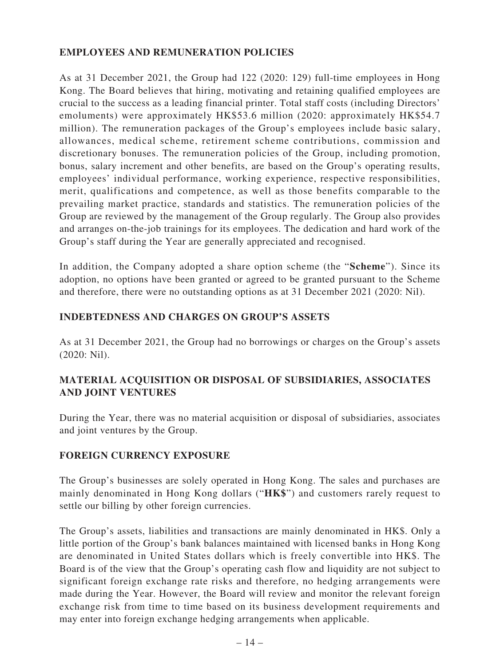## **EMPLOYEES AND REMUNERATION POLICIES**

As at 31 December 2021, the Group had 122 (2020: 129) full-time employees in Hong Kong. The Board believes that hiring, motivating and retaining qualified employees are crucial to the success as a leading financial printer. Total staff costs (including Directors' emoluments) were approximately HK\$53.6 million (2020: approximately HK\$54.7 million). The remuneration packages of the Group's employees include basic salary, allowances, medical scheme, retirement scheme contributions, commission and discretionary bonuses. The remuneration policies of the Group, including promotion, bonus, salary increment and other benefits, are based on the Group's operating results, employees' individual performance, working experience, respective responsibilities, merit, qualifications and competence, as well as those benefits comparable to the prevailing market practice, standards and statistics. The remuneration policies of the Group are reviewed by the management of the Group regularly. The Group also provides and arranges on-the-job trainings for its employees. The dedication and hard work of the Group's staff during the Year are generally appreciated and recognised.

In addition, the Company adopted a share option scheme (the "**Scheme**"). Since its adoption, no options have been granted or agreed to be granted pursuant to the Scheme and therefore, there were no outstanding options as at 31 December 2021 (2020: Nil).

### **INDEBTEDNESS AND CHARGES ON GROUP'S ASSETS**

As at 31 December 2021, the Group had no borrowings or charges on the Group's assets (2020: Nil).

## **MATERIAL ACQUISITION OR DISPOSAL OF SUBSIDIARIES, ASSOCIATES AND JOINT VENTURES**

During the Year, there was no material acquisition or disposal of subsidiaries, associates and joint ventures by the Group.

### **FOREIGN CURRENCY EXPOSURE**

The Group's businesses are solely operated in Hong Kong. The sales and purchases are mainly denominated in Hong Kong dollars ("**HK\$**") and customers rarely request to settle our billing by other foreign currencies.

The Group's assets, liabilities and transactions are mainly denominated in HK\$. Only a little portion of the Group's bank balances maintained with licensed banks in Hong Kong are denominated in United States dollars which is freely convertible into HK\$. The Board is of the view that the Group's operating cash flow and liquidity are not subject to significant foreign exchange rate risks and therefore, no hedging arrangements were made during the Year. However, the Board will review and monitor the relevant foreign exchange risk from time to time based on its business development requirements and may enter into foreign exchange hedging arrangements when applicable.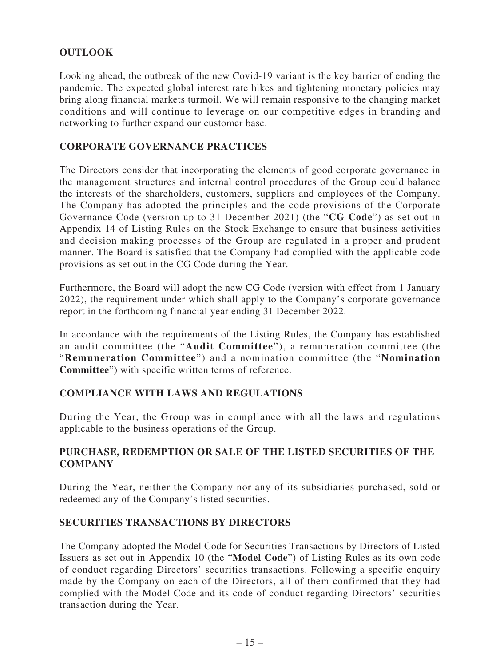## **OUTLOOK**

Looking ahead, the outbreak of the new Covid-19 variant is the key barrier of ending the pandemic. The expected global interest rate hikes and tightening monetary policies may bring along financial markets turmoil. We will remain responsive to the changing market conditions and will continue to leverage on our competitive edges in branding and networking to further expand our customer base.

### **CORPORATE GOVERNANCE PRACTICES**

The Directors consider that incorporating the elements of good corporate governance in the management structures and internal control procedures of the Group could balance the interests of the shareholders, customers, suppliers and employees of the Company. The Company has adopted the principles and the code provisions of the Corporate Governance Code (version up to 31 December 2021) (the "**CG Code**") as set out in Appendix 14 of Listing Rules on the Stock Exchange to ensure that business activities and decision making processes of the Group are regulated in a proper and prudent manner. The Board is satisfied that the Company had complied with the applicable code provisions as set out in the CG Code during the Year.

Furthermore, the Board will adopt the new CG Code (version with effect from 1 January 2022), the requirement under which shall apply to the Company's corporate governance report in the forthcoming financial year ending 31 December 2022.

In accordance with the requirements of the Listing Rules, the Company has established an audit committee (the "**Audit Committee**"), a remuneration committee (the "**Remuneration Committee**") and a nomination committee (the "**Nomination Committee**") with specific written terms of reference.

### **COMPLIANCE WITH LAWS AND REGULATIONS**

During the Year, the Group was in compliance with all the laws and regulations applicable to the business operations of the Group.

## **PURCHASE, REDEMPTION OR SALE OF THE LISTED SECURITIES OF THE COMPANY**

During the Year, neither the Company nor any of its subsidiaries purchased, sold or redeemed any of the Company's listed securities.

### **SECURITIES TRANSACTIONS BY DIRECTORS**

The Company adopted the Model Code for Securities Transactions by Directors of Listed Issuers as set out in Appendix 10 (the "**Model Code**") of Listing Rules as its own code of conduct regarding Directors' securities transactions. Following a specific enquiry made by the Company on each of the Directors, all of them confirmed that they had complied with the Model Code and its code of conduct regarding Directors' securities transaction during the Year.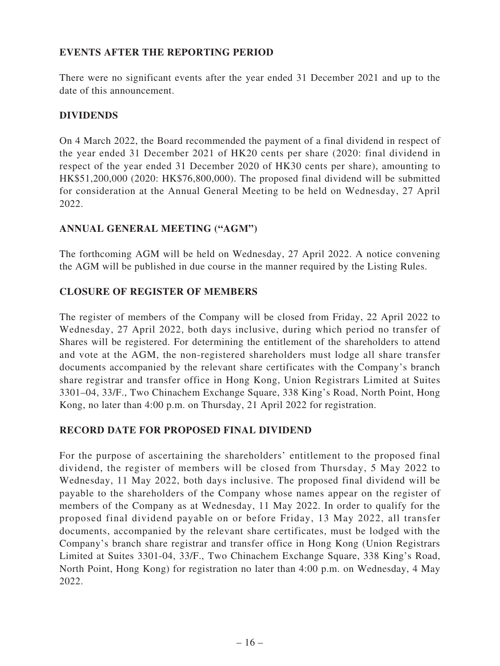## **EVENTS AFTER THE REPORTING PERIOD**

There were no significant events after the year ended 31 December 2021 and up to the date of this announcement.

## **DIVIDENDS**

On 4 March 2022, the Board recommended the payment of a final dividend in respect of the year ended 31 December 2021 of HK20 cents per share (2020: final dividend in respect of the year ended 31 December 2020 of HK30 cents per share), amounting to HK\$51,200,000 (2020: HK\$76,800,000). The proposed final dividend will be submitted for consideration at the Annual General Meeting to be held on Wednesday, 27 April 2022.

## **ANNUAL GENERAL MEETING ("AGM")**

The forthcoming AGM will be held on Wednesday, 27 April 2022. A notice convening the AGM will be published in due course in the manner required by the Listing Rules.

## **CLOSURE OF REGISTER OF MEMBERS**

The register of members of the Company will be closed from Friday, 22 April 2022 to Wednesday, 27 April 2022, both days inclusive, during which period no transfer of Shares will be registered. For determining the entitlement of the shareholders to attend and vote at the AGM, the non-registered shareholders must lodge all share transfer documents accompanied by the relevant share certificates with the Company's branch share registrar and transfer office in Hong Kong, Union Registrars Limited at Suites 3301–04, 33/F., Two Chinachem Exchange Square, 338 King's Road, North Point, Hong Kong, no later than 4:00 p.m. on Thursday, 21 April 2022 for registration.

### **RECORD DATE FOR PROPOSED FINAL DIVIDEND**

For the purpose of ascertaining the shareholders' entitlement to the proposed final dividend, the register of members will be closed from Thursday, 5 May 2022 to Wednesday, 11 May 2022, both days inclusive. The proposed final dividend will be payable to the shareholders of the Company whose names appear on the register of members of the Company as at Wednesday, 11 May 2022. In order to qualify for the proposed final dividend payable on or before Friday, 13 May 2022, all transfer documents, accompanied by the relevant share certificates, must be lodged with the Company's branch share registrar and transfer office in Hong Kong (Union Registrars Limited at Suites 3301-04, 33/F., Two Chinachem Exchange Square, 338 King's Road, North Point, Hong Kong) for registration no later than 4:00 p.m. on Wednesday, 4 May 2022.